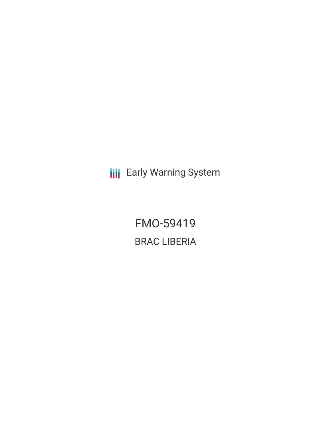**III** Early Warning System

FMO-59419 BRAC LIBERIA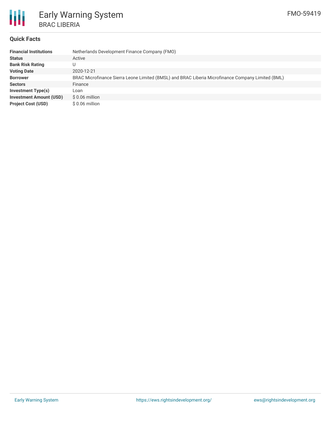

## **Quick Facts**

| <b>Financial Institutions</b>  | Netherlands Development Finance Company (FMO)                                                     |
|--------------------------------|---------------------------------------------------------------------------------------------------|
| <b>Status</b>                  | Active                                                                                            |
| <b>Bank Risk Rating</b>        |                                                                                                   |
| <b>Voting Date</b>             | 2020-12-21                                                                                        |
| <b>Borrower</b>                | BRAC Microfinance Sierra Leone Limited (BMSL) and BRAC Liberia Microfinance Company Limited (BML) |
| <b>Sectors</b>                 | Finance                                                                                           |
| Investment Type(s)             | Loan                                                                                              |
| <b>Investment Amount (USD)</b> | $$0.06$ million                                                                                   |
| <b>Project Cost (USD)</b>      | \$0.06 million                                                                                    |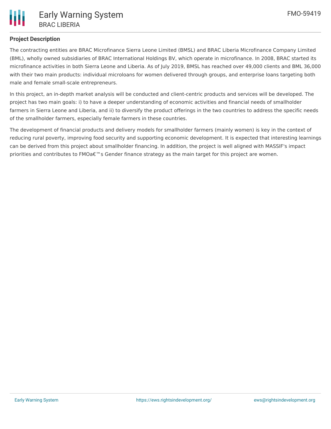

# **Project Description**

The contracting entities are BRAC Microfinance Sierra Leone Limited (BMSL) and BRAC Liberia Microfinance Company Limited (BML), wholly owned subsidiaries of BRAC International Holdings BV, which operate in microfinance. In 2008, BRAC started its microfinance activities in both Sierra Leone and Liberia. As of July 2019, BMSL has reached over 49,000 clients and BML 36,000 with their two main products: individual microloans for women delivered through groups, and enterprise loans targeting both male and female small-scale entrepreneurs.

In this project, an in-depth market analysis will be conducted and client-centric products and services will be developed. The project has two main goals: i) to have a deeper understanding of economic activities and financial needs of smallholder farmers in Sierra Leone and Liberia, and ii) to diversify the product offerings in the two countries to address the specific needs of the smallholder farmers, especially female farmers in these countries.

The development of financial products and delivery models for smallholder farmers (mainly women) is key in the context of reducing rural poverty, improving food security and supporting economic development. It is expected that interesting learnings can be derived from this project about smallholder financing. In addition, the project is well aligned with MASSIF's impact priorities and contributes to FMOa€™s Gender finance strategy as the main target for this project are women.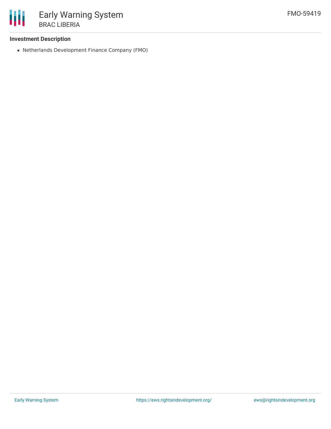

# **Investment Description**

Netherlands Development Finance Company (FMO)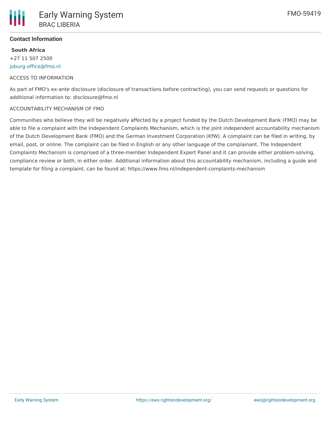

### **Contact Information**

**South Africa** +27 11 507 2500 [joburg-office@fmo.nl](mailto:joburg-office@fmo.nl)

#### ACCESS TO INFORMATION

As part of FMO's ex-ante disclosure (disclosure of transactions before contracting), you can send requests or questions for additional information to: disclosure@fmo.nl

#### ACCOUNTABILITY MECHANISM OF FMO

Communities who believe they will be negatively affected by a project funded by the Dutch Development Bank (FMO) may be able to file a complaint with the Independent Complaints Mechanism, which is the joint independent accountability mechanism of the Dutch Development Bank (FMO) and the German Investment Corporation (KfW). A complaint can be filed in writing, by email, post, or online. The complaint can be filed in English or any other language of the complainant. The Independent Complaints Mechanism is comprised of a three-member Independent Expert Panel and it can provide either problem-solving, compliance review or both, in either order. Additional information about this accountability mechanism, including a guide and template for filing a complaint, can be found at: https://www.fmo.nl/independent-complaints-mechanism